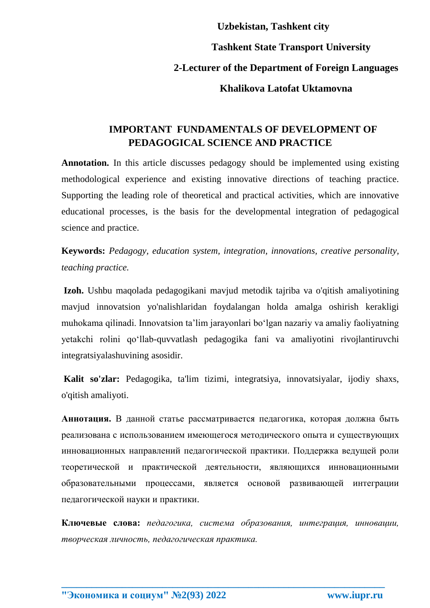## **Uzbekistan, Tashkent city Tashkent State Transport University 2-Lecturer of the Department of Foreign Languages Khalikova Latofat Uktamovna**

## **IMPORTANT FUNDAMENTALS OF DEVELOPMENT OF PEDAGOGICAL SCIENCE AND PRACTICE**

**Annotation.** In this article discusses pedagogy should be implemented using existing methodological experience and existing innovative directions of teaching practice. Supporting the leading role of theoretical and practical activities, which are innovative educational processes, is the basis for the developmental integration of pedagogical science and practice.

**Keywords:** *Pedagogy, education system, integration, innovations, creative personality, teaching practice.*

**Izoh.** Ushbu maqolada pedagogikani mavjud metodik tajriba va o'qitish amaliyotining mavjud innovatsion yo'nalishlaridan foydalangan holda amalga oshirish kerakligi muhokama qilinadi. Innovatsion ta'lim jarayonlari bo'lgan nazariy va amaliy faoliyatning yetakchi rolini qo'llab-quvvatlash pedagogika fani va amaliyotini rivojlantiruvchi integratsiyalashuvining asosidir.

**Kalit so'zlar:** Pedagogika, ta'lim tizimi, integratsiya, innovatsiyalar, ijodiy shaxs, o'qitish amaliyoti.

**Аннотация.** В данной статье рассматривается педагогика, которая должна быть реализована с использованием имеющегося методического опыта и существующих инновационных направлений педагогической практики. Поддержка ведущей роли теоретической и практической деятельности, являющихся инновационными образовательными процессами, является основой развивающей интеграции педагогической науки и практики.

**Ключевые слова:** *педагогика, система образования, интеграция, инновации, творческая личность, педагогическая практика.*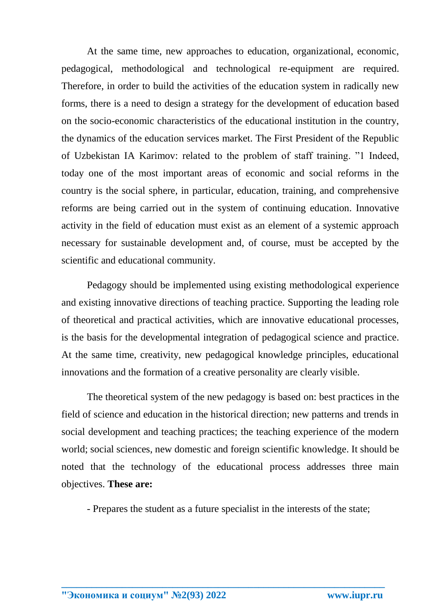At the same time, new approaches to education, organizational, economic, pedagogical, methodological and technological re-equipment are required. Therefore, in order to build the activities of the education system in radically new forms, there is a need to design a strategy for the development of education based on the socio-economic characteristics of the educational institution in the country, the dynamics of the education services market. The First President of the Republic of Uzbekistan IA Karimov: related to the problem of staff training. "1 Indeed, today one of the most important areas of economic and social reforms in the country is the social sphere, in particular, education, training, and comprehensive reforms are being carried out in the system of continuing education. Innovative activity in the field of education must exist as an element of a systemic approach necessary for sustainable development and, of course, must be accepted by the scientific and educational community.

Pedagogy should be implemented using existing methodological experience and existing innovative directions of teaching practice. Supporting the leading role of theoretical and practical activities, which are innovative educational processes, is the basis for the developmental integration of pedagogical science and practice. At the same time, creativity, new pedagogical knowledge principles, educational innovations and the formation of a creative personality are clearly visible.

The theoretical system of the new pedagogy is based on: best practices in the field of science and education in the historical direction; new patterns and trends in social development and teaching practices; the teaching experience of the modern world; social sciences, new domestic and foreign scientific knowledge. It should be noted that the technology of the educational process addresses three main objectives. **These are:**

- Prepares the student as a future specialist in the interests of the state;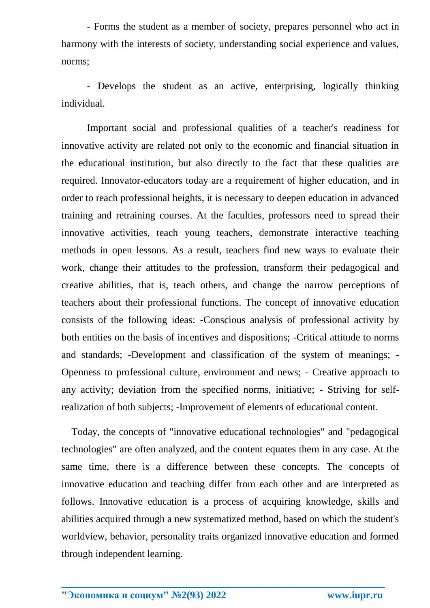- Forms the student as a member of society, prepares personnel who act in harmony with the interests of society, understanding social experience and values, norms;

- Develops the student as an active, enterprising, logically thinking individual.

Important social and professional qualities of a teacher's readiness for innovative activity are related not only to the economic and financial situation in the educational institution, but also directly to the fact that these qualities are required. Innovator-educators today are a requirement of higher education, and in order to reach professional heights, it is necessary to deepen education in advanced training and retraining courses. At the faculties, professors need to spread their innovative activities, teach young teachers, demonstrate interactive teaching methods in open lessons. As a result, teachers find new ways to evaluate their work, change their attitudes to the profession, transform their pedagogical and creative abilities, that is, teach others, and change the narrow perceptions of teachers about their professional functions. The concept of innovative education consists of the following ideas: -Conscious analysis of professional activity by both entities on the basis of incentives and dispositions; -Critical attitude to norms and standards; -Development and classification of the system of meanings; - Openness to professional culture, environment and news; - Creative approach to any activity; deviation from the specified norms, initiative; - Striving for selfrealization of both subjects; -Improvement of elements of educational content.

 Today, the concepts of "innovative educational technologies" and "pedagogical technologies" are often analyzed, and the content equates them in any case. At the same time, there is a difference between these concepts. The concepts of innovative education and teaching differ from each other and are interpreted as follows. Innovative education is a process of acquiring knowledge, skills and abilities acquired through a new systematized method, based on which the student's worldview, behavior, personality traits organized innovative education and formed through independent learning.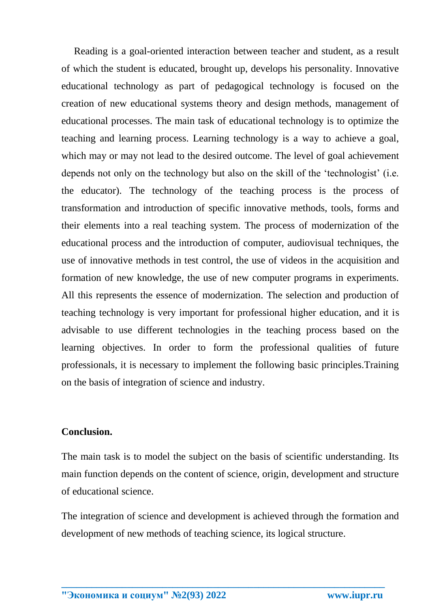Reading is a goal-oriented interaction between teacher and student, as a result of which the student is educated, brought up, develops his personality. Innovative educational technology as part of pedagogical technology is focused on the creation of new educational systems theory and design methods, management of educational processes. The main task of educational technology is to optimize the teaching and learning process. Learning technology is a way to achieve a goal, which may or may not lead to the desired outcome. The level of goal achievement depends not only on the technology but also on the skill of the 'technologist' (i.e. the educator). The technology of the teaching process is the process of transformation and introduction of specific innovative methods, tools, forms and their elements into a real teaching system. The process of modernization of the educational process and the introduction of computer, audiovisual techniques, the use of innovative methods in test control, the use of videos in the acquisition and formation of new knowledge, the use of new computer programs in experiments. All this represents the essence of modernization. The selection and production of teaching technology is very important for professional higher education, and it is advisable to use different technologies in the teaching process based on the learning objectives. In order to form the professional qualities of future professionals, it is necessary to implement the following basic principles.Training on the basis of integration of science and industry.

## **Conclusion.**

The main task is to model the subject on the basis of scientific understanding. Its main function depends on the content of science, origin, development and structure of educational science.

The integration of science and development is achieved through the formation and development of new methods of teaching science, its logical structure.